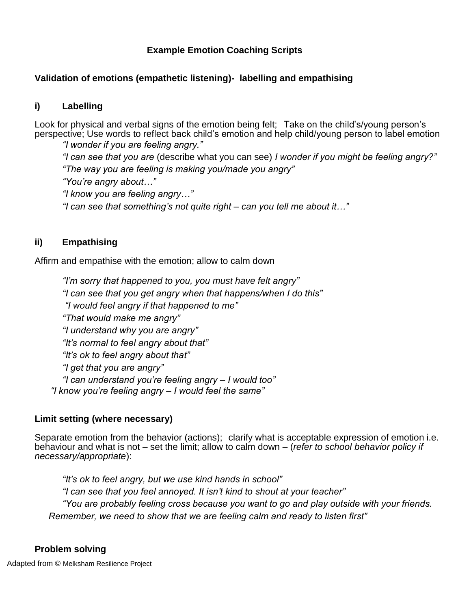## **Example Emotion Coaching Scripts**

#### **Validation of emotions (empathetic listening)- labelling and empathising**

#### **i) Labelling**

Look for physical and verbal signs of the emotion being felt; Take on the child's/young person's perspective; Use words to reflect back child's emotion and help child/young person to label emotion

*"I wonder if you are feeling angry."*

*"I can see that you are* (describe what you can see) *I wonder if you might be feeling angry?" "The way you are feeling is making you/made you angry" "You're angry about…"*

*"I know you are feeling angry…"*

*"I can see that something's not quite right – can you tell me about it…"*

### **ii) Empathising**

Affirm and empathise with the emotion; allow to calm down

*"I'm sorry that happened to you, you must have felt angry" "I can see that you get angry when that happens/when I do this" "I would feel angry if that happened to me" "That would make me angry" "I understand why you are angry" "It's normal to feel angry about that" "It's ok to feel angry about that" "I get that you are angry" "I can understand you're feeling angry – I would too" "I know you're feeling angry – I would feel the same"* 

### **Limit setting (where necessary)**

Separate emotion from the behavior (actions); clarify what is acceptable expression of emotion i.e. behaviour and what is not – set the limit; allow to calm down – (*refer to school behavior policy if necessary/appropriate*):

*"It's ok to feel angry, but we use kind hands in school" "I can see that you feel annoyed. It isn't kind to shout at your teacher" "You are probably feeling cross because you want to go and play outside with your friends. Remember, we need to show that we are feeling calm and ready to listen first"*

#### **Problem solving**

Adapted from © Melksham Resilience Project